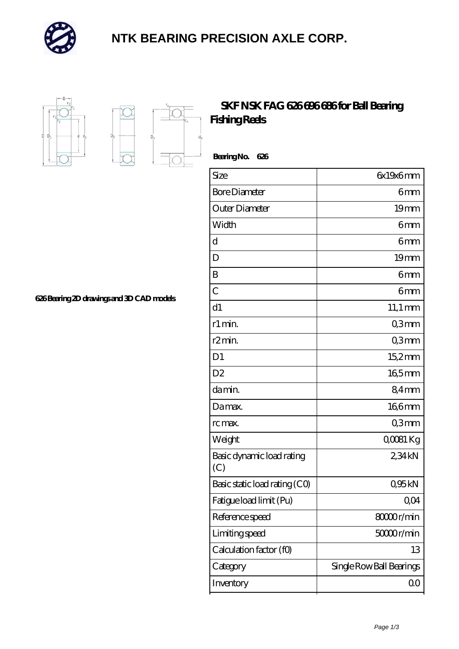

## **[NTK BEARING PRECISION AXLE CORP.](https://m.simonshaus.com)**



D.

## **[SKF NSK FAG 626 696 686 for Ball Bearing](https://m.simonshaus.com/az-65282654-skf-nsk-fag-626-696-686-for-ball-bearing-fishing-reels.html) [Fishing Reels](https://m.simonshaus.com/az-65282654-skf-nsk-fag-626-696-686-for-ball-bearing-fishing-reels.html)**

 **Bearing No. 626** Size 6x19x6 mm Bore Diameter **6 mm** Outer Diameter 19 mm Width **6 mm** d 6mm D 19 mm B 6mm  $\sim$  6 mm d1 11,1 mm r1 min. Comm r2 min. Comm D1 15,2 mm D2 165mm da min. 84 mm Da max. 166 mm rc max. Q3mm Weight COOSI Kg Basic dynamic load rating (C) 2,34 kN Basic static load rating  $(CQ)$  0,95 kN Fatigue load limit (Pu)  $0,04$ Reference speed 80000 r/min Limiting speed 5000 r/min Calculation factor (f0) 13 Category Single Row Ball Bearings Inventory 0.0

**[626 Bearing 2D drawings and 3D CAD models](https://m.simonshaus.com/pic-65282654.html)**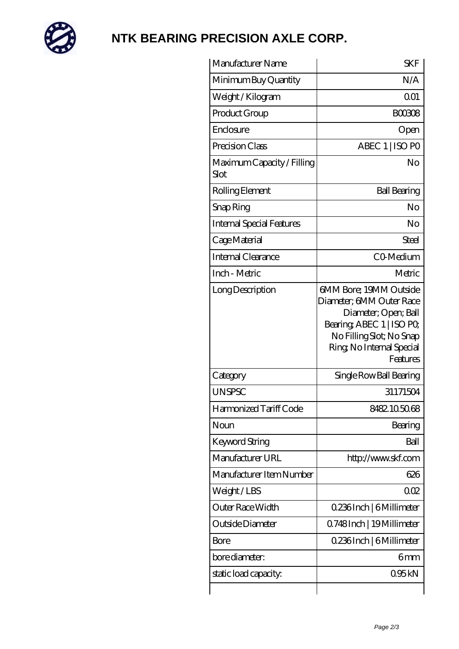

## **[NTK BEARING PRECISION AXLE CORP.](https://m.simonshaus.com)**

| Manufacturer Name                  | <b>SKF</b>                                                                                                                                                                  |
|------------------------------------|-----------------------------------------------------------------------------------------------------------------------------------------------------------------------------|
| Minimum Buy Quantity               | N/A                                                                                                                                                                         |
| Weight/Kilogram                    | 0 <sub>01</sub>                                                                                                                                                             |
| Product Group                      | <b>BOO308</b>                                                                                                                                                               |
| Enclosure                          | Open                                                                                                                                                                        |
| Precision Class                    | ABEC 1   ISO PO                                                                                                                                                             |
| Maximum Capacity / Filling<br>Slot | No                                                                                                                                                                          |
| Rolling Element                    | <b>Ball Bearing</b>                                                                                                                                                         |
| Snap Ring                          | No                                                                                                                                                                          |
| Internal Special Features          | No                                                                                                                                                                          |
| Cage Material                      | Steel                                                                                                                                                                       |
| Internal Clearance                 | CO-Medium                                                                                                                                                                   |
| Inch - Metric                      | Metric                                                                                                                                                                      |
| Long Description                   | 6MM Bore; 19MM Outside<br>Diameter; 6MM Outer Race<br>Diameter; Open; Ball<br>Bearing, ABEC 1   ISO PO<br>No Filling Slot; No Snap<br>Ring, No Internal Special<br>Features |
| Category                           | Single Row Ball Bearing                                                                                                                                                     |
| <b>UNSPSC</b>                      | 31171504                                                                                                                                                                    |
| Harmonized Tariff Code             | 8482105068                                                                                                                                                                  |
| Noun                               | Bearing                                                                                                                                                                     |
| Keyword String                     | Ball                                                                                                                                                                        |
| Manufacturer URL                   | http://www.skf.com                                                                                                                                                          |
| Manufacturer Item Number           | 626                                                                                                                                                                         |
| Weight/LBS                         | 002                                                                                                                                                                         |
| Outer Race Width                   | 0.236Inch   6Millimeter                                                                                                                                                     |
| Outside Diameter                   | Q748Inch   19Millimeter                                                                                                                                                     |
| Bore                               | 0.236Inch   6Millimeter                                                                                                                                                     |
| bore diameter:                     | 6mm                                                                                                                                                                         |
| static load capacity:              | 095kN                                                                                                                                                                       |
|                                    |                                                                                                                                                                             |